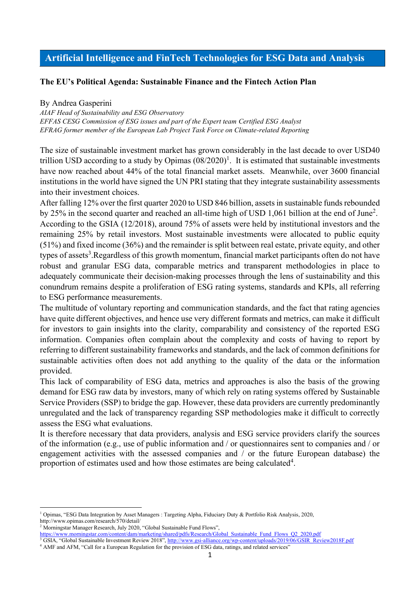# **Artificial Intelligence and FinTech Technologies for ESG Data and Analysis**

## **The EU's Political Agenda: Sustainable Finance and the Fintech Action Plan**

#### By Andrea Gasperini

*AIAF Head of Sustainability and ESG Observatory EFFAS CESG Commission of ESG issues and part of the Expert team Certified ESG Analyst EFRAG former member of the European Lab Project Task Force on Climate-related Reporting*

The size of sustainable investment market has grown considerably in the last decade to over USD40 trillion USD according to a study by Opimas  $(08/2020)^1$ . It is estimated that sustainable investments have now reached about 44% of the total financial market assets. Meanwhile, over 3600 financial institutions in the world have signed the UN PRI stating that they integrate sustainability assessments into their investment choices.

After falling 12% over the first quarter 2020 to USD 846 billion, assets in sustainable funds rebounded by 25% in the second quarter and reached an all-time high of USD 1,061 billion at the end of June<sup>2</sup>. According to the GSIA (12/2018), around 75% of assets were held by institutional investors and the remaining 25% by retail investors. Most sustainable investments were allocated to public equity (51%) and fixed income (36%) and the remainder is split between real estate, private equity, and other types of assets<sup>3</sup>. Regardless of this growth momentum, financial market participants often do not have robust and granular ESG data, comparable metrics and transparent methodologies in place to adequately communicate their decision-making processes through the lens of sustainability and this conundrum remains despite a proliferation of ESG rating systems, standards and KPIs, all referring to ESG performance measurements.

The multitude of voluntary reporting and communication standards, and the fact that rating agencies have quite different objectives, and hence use very different formats and metrics, can make it difficult for investors to gain insights into the clarity, comparability and consistency of the reported ESG information. Companies often complain about the complexity and costs of having to report by referring to different sustainability frameworks and standards, and the lack of common definitions for sustainable activities often does not add anything to the quality of the data or the information provided.

This lack of comparability of ESG data, metrics and approaches is also the basis of the growing demand for ESG raw data by investors, many of which rely on rating systems offered by Sustainable Service Providers (SSP) to bridge the gap. However, these data providers are currently predominantly unregulated and the lack of transparency regarding SSP methodologies make it difficult to correctly assess the ESG what evaluations.

It is therefore necessary that data providers, analysis and ESG service providers clarify the sources of the information (e.g., use of public information and / or questionnaires sent to companies and / or engagement activities with the assessed companies and / or the future European database) the proportion of estimates used and how those estimates are being calculated<sup>4</sup>.

<sup>1</sup> Opimas, "ESG Data Integration by Asset Managers : Targeting Alpha, Fiduciary Duty & Portfolio Risk Analysis, 2020, http://www.opimas.com/research/570/detail/

<sup>&</sup>lt;sup>2</sup> Morningstar Manager Research, July 2020, "Global Sustainable Fund Flows",

https://www.morningstar.com/content/dam/marketing/shared/pdfs/Research/Global\_Sustainable\_Fund\_Flows\_Q2\_2020.pdf <sup>3</sup> GSIA, "Global Sustainable Investment Review 2018", http://www.gsi-alliance.org/wp-content/uploads/2019/06/GSIR\_Review2018F.pdf

<sup>&</sup>lt;sup>4</sup> AMF and AFM, "Call for a European Regulation for the provision of ESG data, ratings, and related services'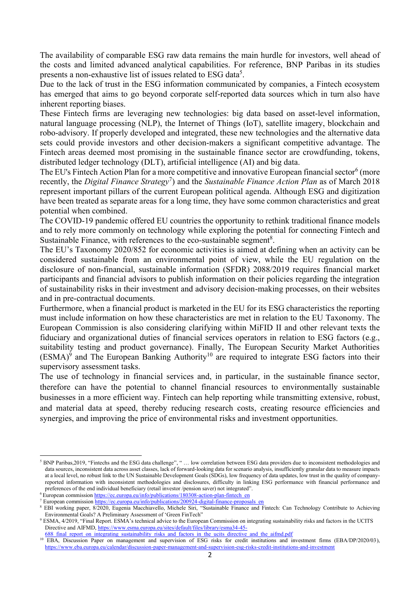The availability of comparable ESG raw data remains the main hurdle for investors, well ahead of the costs and limited advanced analytical capabilities. For reference, BNP Paribas in its studies presents a non-exhaustive list of issues related to ESG data<sup>5</sup>.

Due to the lack of trust in the ESG information communicated by companies, a Fintech ecosystem has emerged that aims to go beyond corporate self-reported data sources which in turn also have inherent reporting biases.

These Fintech firms are leveraging new technologies: big data based on asset-level information, natural language processing (NLP), the Internet of Things (IoT), satellite imagery, blockchain and robo-advisory. If properly developed and integrated, these new technologies and the alternative data sets could provide investors and other decision-makers a significant competitive advantage. The Fintech areas deemed most promising in the sustainable finance sector are crowdfunding, tokens, distributed ledger technology (DLT), artificial intelligence (AI) and big data.

The EU's Fintech Action Plan for a more competitive and innovative European financial sector<sup>6</sup> (more recently, the *Digital Finance Strategy*<sup>7</sup> ) and the *Sustainable Finance Action Plan* as of March 2018 represent important pillars of the current European political agenda. Although ESG and digitization have been treated as separate areas for a long time, they have some common characteristics and great potential when combined.

The COVID-19 pandemic offered EU countries the opportunity to rethink traditional finance models and to rely more commonly on technology while exploring the potential for connecting Fintech and Sustainable Finance, with references to the eco-sustainable segment<sup>8</sup>.

The EU's Taxonomy 2020/852 for economic activities is aimed at defining when an activity can be considered sustainable from an environmental point of view, while the EU regulation on the disclosure of non-financial, sustainable information (SFDR) 2088/2019 requires financial market participants and financial advisors to publish information on their policies regarding the integration of sustainability risks in their investment and advisory decision-making processes, on their websites and in pre-contractual documents.

Furthermore, when a financial product is marketed in the EU for its ESG characteristics the reporting must include information on how these characteristics are met in relation to the EU Taxonomy. The European Commission is also considering clarifying within MiFID II and other relevant texts the fiduciary and organizational duties of financial services operators in relation to ESG factors (e.g., suitability testing and product governance). Finally, The European Security Market Authorities  $(ESMA)^9$  and The European Banking Authority<sup>10</sup> are required to integrate ESG factors into their supervisory assessment tasks.

The use of technology in financial services and, in particular, in the sustainable finance sector, therefore can have the potential to channel financial resources to environmentally sustainable businesses in a more efficient way. Fintech can help reporting while transmitting extensive, robust, and material data at speed, thereby reducing research costs, creating resource efficiencies and synergies, and improving the price of environmental risks and investment opportunities.

<sup>&</sup>lt;sup>5</sup> BNP Paribas,2019, "Fintechs and the ESG data challenge", " ... low correlation between ESG data providers due to inconsistent methodologies and data sources, inconsistent data across asset classes, lack of forward-looking data for scenario analysis, insufficiently granular data to measure impacts at a local level, no robust link to the UN Sustainable Development Goals (SDGs), low frequency of data updates, low trust in the quality of companyreported information with inconsistent methodologies and disclosures, difficulty in linking ESG performance with financial performance and preferences of the end individual beneficiary (retail investor /pension saver) not integrated".

<sup>&</sup>lt;sup>6</sup> European commission https://ec.europa.eu/info/publications/180308-action-plan-fintech\_en

<sup>&</sup>lt;sup>7</sup> European commission https://ec.europa.eu/info/publications/200924-digital-finance-proposals\_en

<sup>8</sup> EBI working paper, 8/2020, Eugenia Macchiavello, Michele Siri, "Sustainable Finance and Fintech: Can Technology Contribute to Achieving Environmental Goals? A Preliminary Assessment of 'Green FinTech"

<sup>9</sup> ESMA, 4/2019, "Final Report. ESMA's technical advice to the European Commission on integrating sustainability risks and factors in the UCITS Directive and AIFMD, https://www.esma.europa.eu/sites/default/files/library/esma34-45-

<sup>688</sup> final report on integrating sustainability risks and factors in the ucits directive and the aifmd.pdf

<sup>&</sup>lt;sup>10</sup> EBA, Discussion Paper on management and supervision of ESG risks for credit institutions and investment firms (EBA/DP/2020/03), https://www.eba.europa.eu/calendar/discussion-paper-management-and-supervision-esg-risks-credit-institutions-and-investment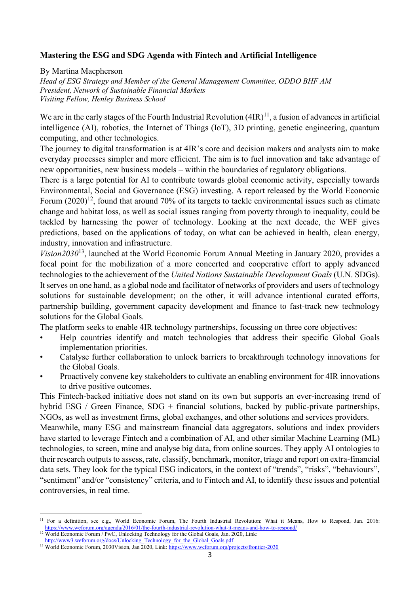## **Mastering the ESG and SDG Agenda with Fintech and Artificial Intelligence**

By Martina Macpherson

*Head of ESG Strategy and Member of the General Management Committee, ODDO BHF AM President, Network of Sustainable Financial Markets Visiting Fellow, Henley Business School*

We are in the early stages of the Fourth Industrial Revolution  $(4IR)^{11}$ , a fusion of advances in artificial intelligence (AI), robotics, the Internet of Things (IoT), 3D printing, genetic engineering, quantum computing, and other technologies.

The journey to digital transformation is at 4IR's core and decision makers and analysts aim to make everyday processes simpler and more efficient. The aim is to fuel innovation and take advantage of new opportunities, new business models – within the boundaries of regulatory obligations.

There is a large potential for AI to contribute towards global economic activity, especially towards Environmental, Social and Governance (ESG) investing. A report released by the World Economic Forum  $(2020)^{12}$ , found that around 70% of its targets to tackle environmental issues such as climate change and habitat loss, as well as social issues ranging from poverty through to inequality, could be tackled by harnessing the power of technology. Looking at the next decade, the WEF gives predictions, based on the applications of today, on what can be achieved in health, clean energy, industry, innovation and infrastructure.

*Vision2030*13, launched at the World Economic Forum Annual Meeting in January 2020, provides a focal point for the mobilization of a more concerted and cooperative effort to apply advanced technologies to the achievement of the *United Nations Sustainable Development Goals* (U.N. SDGs). It serves on one hand, as a global node and facilitator of networks of providers and users of technology solutions for sustainable development; on the other, it will advance intentional curated efforts, partnership building, government capacity development and finance to fast-track new technology solutions for the Global Goals.

The platform seeks to enable 4IR technology partnerships, focussing on three core objectives:

- Help countries identify and match technologies that address their specific Global Goals implementation priorities.
- Catalyse further collaboration to unlock barriers to breakthrough technology innovations for the Global Goals.
- Proactively convene key stakeholders to cultivate an enabling environment for 4IR innovations to drive positive outcomes.

This Fintech-backed initiative does not stand on its own but supports an ever-increasing trend of hybrid ESG / Green Finance, SDG + financial solutions, backed by public-private partnerships, NGOs, as well as investment firms, global exchanges, and other solutions and services providers.

Meanwhile, many ESG and mainstream financial data aggregators, solutions and index providers have started to leverage Fintech and a combination of AI, and other similar Machine Learning (ML) technologies, to screen, mine and analyse big data, from online sources. They apply AI ontologies to their research outputs to assess, rate, classify, benchmark, monitor, triage and report on extra-financial data sets. They look for the typical ESG indicators, in the context of "trends", "risks", "behaviours", "sentiment" and/or "consistency" criteria, and to Fintech and AI, to identify these issues and potential controversies, in real time.

<sup>&</sup>lt;sup>11</sup> For a definition, see e.g., World Economic Forum, The Fourth Industrial Revolution: What it Means, How to Respond, Jan. 2016: https://www.weforum.org/agenda/2016/01/the-fourth-industrial-revolution-what-it-means-and-how-to-respond/

<sup>&</sup>lt;sup>12</sup> World Economic Forum / PwC, Unlocking Technology for the Global Goals, Jan. 2020, Link: http://www3.weforum.org/docs/Unlocking\_Technology\_for\_the\_Global\_Goals.pdf

<sup>&</sup>lt;sup>13</sup> World Economic Forum, 2030Vision, Jan 2020, Link: https://www.weforum.org/projects/frontier-2030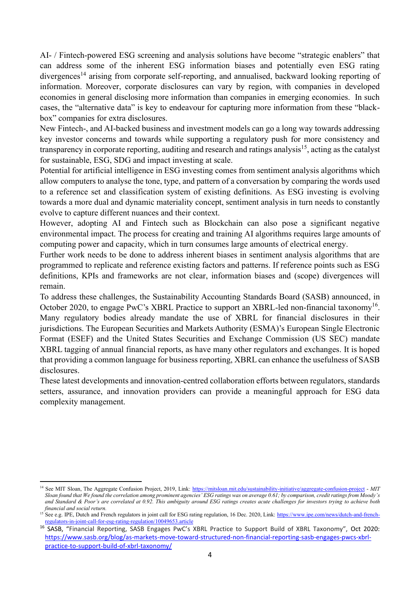AI- / Fintech-powered ESG screening and analysis solutions have become "strategic enablers" that can address some of the inherent ESG information biases and potentially even ESG rating divergences<sup>14</sup> arising from corporate self-reporting, and annualised, backward looking reporting of information. Moreover, corporate disclosures can vary by region, with companies in developed economies in general disclosing more information than companies in emerging economies. In such cases, the "alternative data" is key to endeavour for capturing more information from these "blackbox" companies for extra disclosures.

New Fintech-, and AI-backed business and investment models can go a long way towards addressing key investor concerns and towards while supporting a regulatory push for more consistency and transparency in corporate reporting, auditing and research and ratings analysis<sup>15</sup>, acting as the catalyst for sustainable, ESG, SDG and impact investing at scale.

Potential for artificial intelligence in ESG investing comes from sentiment analysis algorithms which allow computers to analyse the tone, type, and pattern of a conversation by comparing the words used to a reference set and classification system of existing definitions. As ESG investing is evolving towards a more dual and dynamic materiality concept, sentiment analysis in turn needs to constantly evolve to capture different nuances and their context.

However, adopting AI and Fintech such as Blockchain can also pose a significant negative environmental impact. The process for creating and training AI algorithms requires large amounts of computing power and capacity, which in turn consumes large amounts of electrical energy.

Further work needs to be done to address inherent biases in sentiment analysis algorithms that are programmed to replicate and reference existing factors and patterns. If reference points such as ESG definitions, KPIs and frameworks are not clear, information biases and (scope) divergences will remain.

To address these challenges, the Sustainability Accounting Standards Board (SASB) announced, in October 2020, to engage PwC's XBRL Practice to support an XBRL-led non-financial taxonomy<sup>16</sup>. Many regulatory bodies already mandate the use of XBRL for financial disclosures in their jurisdictions. The European Securities and Markets Authority (ESMA)'s European Single Electronic Format (ESEF) and the United States Securities and Exchange Commission (US SEC) mandate XBRL tagging of annual financial reports, as have many other regulators and exchanges. It is hoped that providing a common language for business reporting, XBRL can enhance the usefulness of SASB disclosures.

These latest developments and innovation-centred collaboration efforts between regulators, standards setters, assurance, and innovation providers can provide a meaningful approach for ESG data complexity management.

<sup>&</sup>lt;sup>14</sup> See MIT Sloan, The Aggregate Confusion Project, 2019, Link: https://mitsloan.mit.edu/sustainability-initiative/aggregate-confusion-project - *MIT Sloan found that We found the correlation among prominent agencies' ESG ratings was on average 0.61; by comparison, credit ratings from Moody's and Standard & Poor's are correlated at 0.92. This ambiguity around ESG ratings creates acute challenges for investors trying to achieve both financial and social return.*

<sup>&</sup>lt;sup>15</sup> See e.g. IPE, Dutch and French regulators in joint call for ESG rating regulation, 16 Dec. 2020, Link: https://www.ipe.com/news/dutch-and-frenchregulators-in-joint-call-for-esg-rating-regulation/10049653.article

<sup>16</sup> SASB, "Financial Reporting, SASB Engages PwC's XBRL Practice to Support Build of XBRL Taxonomy", Oct 2020: https://www.sasb.org/blog/as-markets-move-toward-structured-non-financial-reporting-sasb-engages-pwcs-xbrlpractice-to-support-build-of-xbrl-taxonomy/